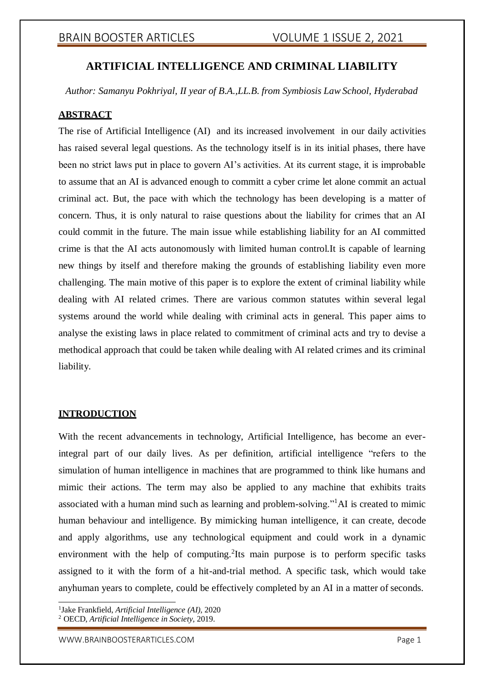# **ARTIFICIAL INTELLIGENCE AND CRIMINAL LIABILITY**

*Author: Samanyu Pokhriyal, II year of B.A.,LL.B. from Symbiosis Law School, Hyderabad*

## **ABSTRACT**

The rise of Artificial Intelligence (AI) and its increased involvement in our daily activities has raised several legal questions. As the technology itself is in its initial phases, there have been no strict laws put in place to govern AI's activities. At its current stage, it is improbable to assume that an AI is advanced enough to committ a cyber crime let alone commit an actual criminal act. But, the pace with which the technology has been developing is a matter of concern. Thus, it is only natural to raise questions about the liability for crimes that an AI could commit in the future. The main issue while establishing liability for an AI committed crime is that the AI acts autonomously with limited human control.It is capable of learning new things by itself and therefore making the grounds of establishing liability even more challenging. The main motive of this paper is to explore the extent of criminal liability while dealing with AI related crimes. There are various common statutes within several legal systems around the world while dealing with criminal acts in general. This paper aims to analyse the existing laws in place related to commitment of criminal acts and try to devise a methodical approach that could be taken while dealing with AI related crimes and its criminal liability.

### **INTRODUCTION**

With the recent advancements in technology, Artificial Intelligence, has become an everintegral part of our daily lives. As per definition, artificial intelligence "refers to the simulation of human intelligence in machines that are programmed to think like humans and mimic their actions. The term may also be applied to any machine that exhibits traits associated with a human mind such as learning and problem-solving."<sup>1</sup>AI is created to mimic human behaviour and intelligence. By mimicking human intelligence, it can create, decode and apply algorithms, use any technological equipment and could work in a dynamic environment with the help of computing.<sup>2</sup>Its main purpose is to perform specific tasks assigned to it with the form of a hit-and-trial method. A specific task, which would take anyhuman years to complete, could be effectively completed by an AI in a matter of seconds.

1 Jake Frankfield, *Artificial Intelligence (AI)*, 2020 <sup>2</sup> OECD, *Artificial Intelligence in Society*, 2019.

[WWW.BRAINBOOSTERARTICLES.COM](http://www.brainboosterarticles.com/) extended that the control of the page 1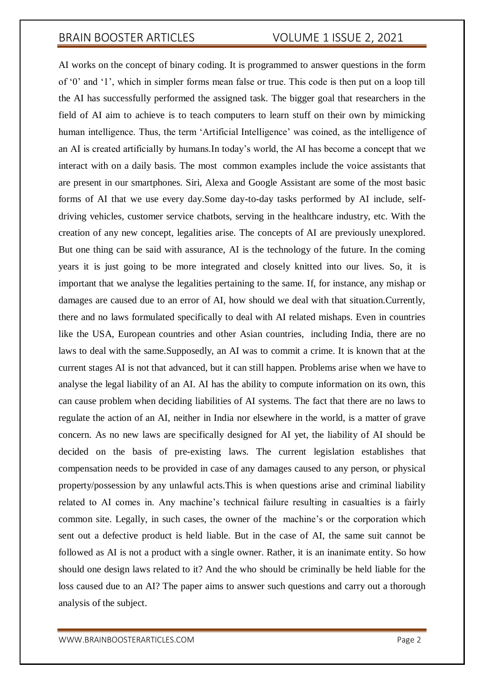AI works on the concept of binary coding. It is programmed to answer questions in the form of '0' and '1', which in simpler forms mean false or true. This code is then put on a loop till the AI has successfully performed the assigned task. The bigger goal that researchers in the field of AI aim to achieve is to teach computers to learn stuff on their own by mimicking human intelligence. Thus, the term 'Artificial Intelligence' was coined, as the intelligence of an AI is created artificially by humans.In today's world, the AI has become a concept that we interact with on a daily basis. The most common examples include the voice assistants that are present in our smartphones. Siri, Alexa and Google Assistant are some of the most basic forms of AI that we use every day.Some day-to-day tasks performed by AI include, selfdriving vehicles, customer service chatbots, serving in the healthcare industry, etc. With the creation of any new concept, legalities arise. The concepts of AI are previously unexplored. But one thing can be said with assurance, AI is the technology of the future. In the coming years it is just going to be more integrated and closely knitted into our lives. So, it is important that we analyse the legalities pertaining to the same. If, for instance, any mishap or damages are caused due to an error of AI, how should we deal with that situation.Currently, there and no laws formulated specifically to deal with AI related mishaps. Even in countries like the USA, European countries and other Asian countries, including India, there are no laws to deal with the same.Supposedly, an AI was to commit a crime. It is known that at the current stages AI is not that advanced, but it can still happen. Problems arise when we have to analyse the legal liability of an AI. AI has the ability to compute information on its own, this can cause problem when deciding liabilities of AI systems. The fact that there are no laws to regulate the action of an AI, neither in India nor elsewhere in the world, is a matter of grave concern. As no new laws are specifically designed for AI yet, the liability of AI should be decided on the basis of pre-existing laws. The current legislation establishes that compensation needs to be provided in case of any damages caused to any person, or physical property/possession by any unlawful acts.This is when questions arise and criminal liability related to AI comes in. Any machine's technical failure resulting in casualties is a fairly common site. Legally, in such cases, the owner of the machine's or the corporation which sent out a defective product is held liable. But in the case of AI, the same suit cannot be followed as AI is not a product with a single owner. Rather, it is an inanimate entity. So how should one design laws related to it? And the who should be criminally be held liable for the loss caused due to an AI? The paper aims to answer such questions and carry out a thorough analysis of the subject.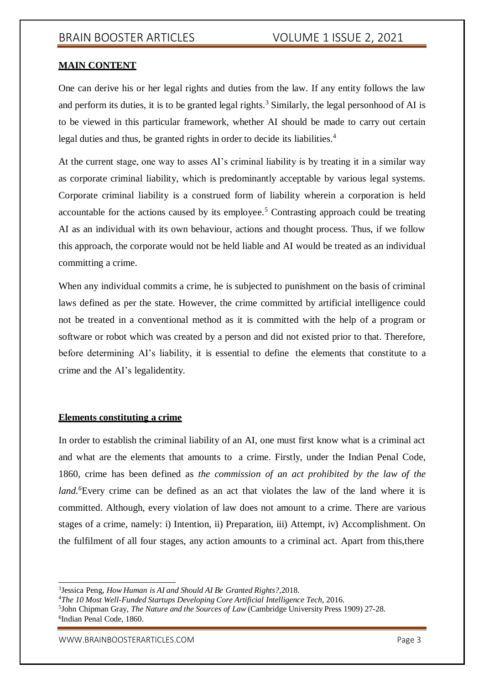## **MAIN CONTENT**

One can derive his or her legal rights and duties from the law. If any entity follows the law and perform its duties, it is to be granted legal rights.<sup>3</sup> Similarly, the legal personhood of AI is to be viewed in this particular framework, whether AI should be made to carry out certain legal duties and thus, be granted rights in order to decide its liabilities.<sup>4</sup>

At the current stage, one way to asses AI's criminal liability is by treating it in a similar way as corporate criminal liability, which is predominantly acceptable by various legal systems. Corporate criminal liability is a construed form of liability wherein a corporation is held accountable for the actions caused by its employee.<sup>5</sup> Contrasting approach could be treating AI as an individual with its own behaviour, actions and thought process. Thus, if we follow this approach, the corporate would not be held liable and AI would be treated as an individual committing a crime.

When any individual commits a crime, he is subjected to punishment on the basis of criminal laws defined as per the state. However, the crime committed by artificial intelligence could not be treated in a conventional method as it is committed with the help of a program or software or robot which was created by a person and did not existed prior to that. Therefore, before determining AI's liability, it is essential to define the elements that constitute to a crime and the AI's legalidentity.

### **Elements constituting a crime**

In order to establish the criminal liability of an AI, one must first know what is a criminal act and what are the elements that amounts to a crime. Firstly, under the Indian Penal Code, 1860, crime has been defined as *the commission of an act prohibited by the law of the land.*<sup>6</sup>Every crime can be defined as an act that violates the law of the land where it is committed. Although, every violation of law does not amount to a crime. There are various stages of a crime, namely: i) Intention, ii) Preparation, iii) Attempt, iv) Accomplishment. On the fulfilment of all four stages, any action amounts to a criminal act. Apart from this,there

<sup>3</sup> Jessica Peng, *How Human is AI and Should AI Be Granted Rights?,*2018.

<sup>4</sup>*The 10 Most Well-Funded Startups Developing Core Artificial Intelligence Tech,* 2016.

<sup>5</sup> John Chipman Gray, *The Nature and the Sources of Law* (Cambridge University Press 1909) 27-28. 6 Indian Penal Code, 1860.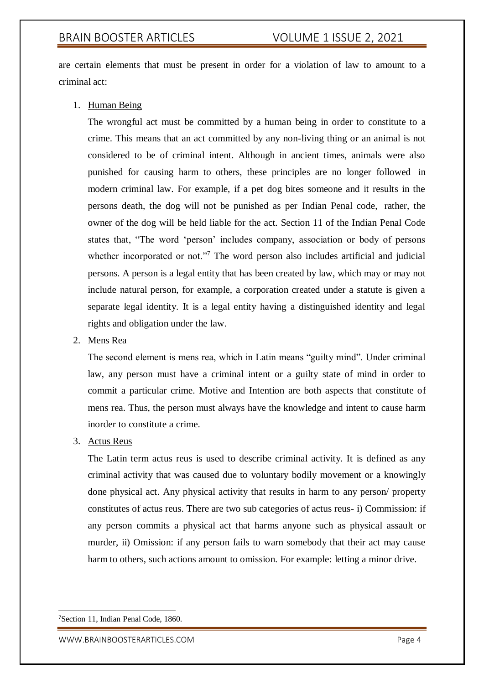are certain elements that must be present in order for a violation of law to amount to a criminal act:

1. Human Being

The wrongful act must be committed by a human being in order to constitute to a crime. This means that an act committed by any non-living thing or an animal is not considered to be of criminal intent. Although in ancient times, animals were also punished for causing harm to others, these principles are no longer followed in modern criminal law. For example, if a pet dog bites someone and it results in the persons death, the dog will not be punished as per Indian Penal code, rather, the owner of the dog will be held liable for the act. Section 11 of the Indian Penal Code states that, "The word 'person' includes company, association or body of persons whether incorporated or not."<sup>7</sup> The word person also includes artificial and judicial persons. A person is a legal entity that has been created by law, which may or may not include natural person, for example, a corporation created under a statute is given a separate legal identity. It is a legal entity having a distinguished identity and legal rights and obligation under the law.

## 2. Mens Rea

The second element is mens rea, which in Latin means "guilty mind". Under criminal law, any person must have a criminal intent or a guilty state of mind in order to commit a particular crime. Motive and Intention are both aspects that constitute of mens rea. Thus, the person must always have the knowledge and intent to cause harm inorder to constitute a crime.

## 3. Actus Reus

The Latin term actus reus is used to describe criminal activity. It is defined as any criminal activity that was caused due to voluntary bodily movement or a knowingly done physical act. Any physical activity that results in harm to any person/ property constitutes of actus reus. There are two sub categories of actus reus- i) Commission: if any person commits a physical act that harms anyone such as physical assault or murder, ii) Omission: if any person fails to warn somebody that their act may cause harm to others, such actions amount to omission. For example: letting a minor drive.

<sup>7</sup>Section 11, Indian Penal Code, 1860.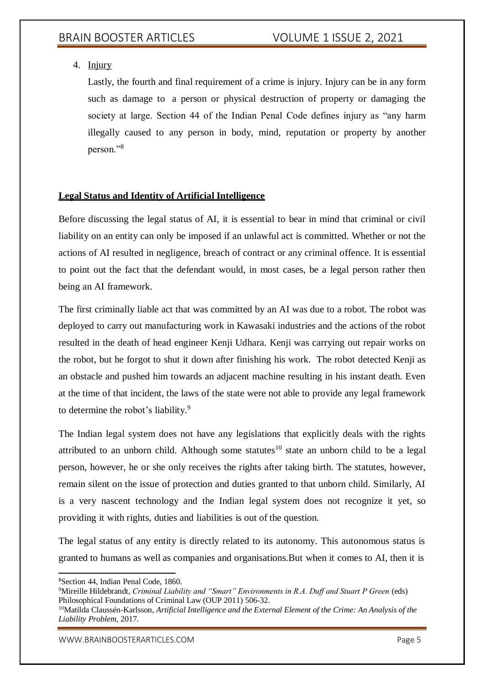## 4. Injury

Lastly, the fourth and final requirement of a crime is injury. Injury can be in any form such as damage to a person or physical destruction of property or damaging the society at large. Section 44 of the Indian Penal Code defines injury as "any harm illegally caused to any person in body, mind, reputation or property by another person."<sup>8</sup>

## **Legal Status and Identity of Artificial Intelligence**

Before discussing the legal status of AI, it is essential to bear in mind that criminal or civil liability on an entity can only be imposed if an unlawful act is committed. Whether or not the actions of AI resulted in negligence, breach of contract or any criminal offence. It is essential to point out the fact that the defendant would, in most cases, be a legal person rather then being an AI framework.

The first criminally liable act that was committed by an AI was due to a robot. The robot was deployed to carry out manufacturing work in Kawasaki industries and the actions of the robot resulted in the death of head engineer Kenji Udhara. Kenji was carrying out repair works on the robot, but he forgot to shut it down after finishing his work. The robot detected Kenji as an obstacle and pushed him towards an adjacent machine resulting in his instant death. Even at the time of that incident, the laws of the state were not able to provide any legal framework to determine the robot's liability.<sup>9</sup>

The Indian legal system does not have any legislations that explicitly deals with the rights attributed to an unborn child. Although some statutes<sup>10</sup> state an unborn child to be a legal person, however, he or she only receives the rights after taking birth. The statutes, however, remain silent on the issue of protection and duties granted to that unborn child. Similarly, AI is a very nascent technology and the Indian legal system does not recognize it yet, so providing it with rights, duties and liabilities is out of the question.

The legal status of any entity is directly related to its autonomy. This autonomous status is granted to humans as well as companies and organisations.But when it comes to AI, then it is

[WWW.BRAINBOOSTERARTICLES.COM](http://www.brainboosterarticles.com/) **Example 2018** Page 5

<sup>8</sup>Section 44, Indian Penal Code, 1860.

<sup>&</sup>lt;sup>9</sup>Mireille Hildebrandt, *Criminal Liability and "Smart" Environments in R.A. Duff and Stuart P Green (eds)* Philosophical Foundations of Criminal Law (OUP 2011) 506-32.

<sup>10</sup>Matilda Claussén-Karlsson, *Artificial Intelligence and the External Element of the Crime: An Analysis of the Liability Problem,* 2017.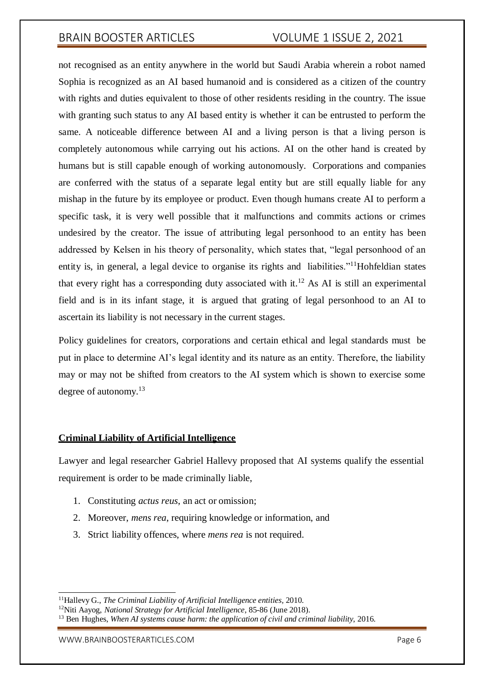not recognised as an entity anywhere in the world but Saudi Arabia wherein a robot named Sophia is recognized as an AI based humanoid and is considered as a citizen of the country with rights and duties equivalent to those of other residents residing in the country. The issue with granting such status to any AI based entity is whether it can be entrusted to perform the same. A noticeable difference between AI and a living person is that a living person is completely autonomous while carrying out his actions. AI on the other hand is created by humans but is still capable enough of working autonomously. Corporations and companies are conferred with the status of a separate legal entity but are still equally liable for any mishap in the future by its employee or product. Even though humans create AI to perform a specific task, it is very well possible that it malfunctions and commits actions or crimes undesired by the creator. The issue of attributing legal personhood to an entity has been addressed by Kelsen in his theory of personality, which states that, "legal personhood of an entity is, in general, a legal device to organise its rights and liabilities."<sup>11</sup>Hohfeldian states that every right has a corresponding duty associated with it.<sup>12</sup> As AI is still an experimental field and is in its infant stage, it is argued that grating of legal personhood to an AI to ascertain its liability is not necessary in the current stages.

Policy guidelines for creators, corporations and certain ethical and legal standards must be put in place to determine AI's legal identity and its nature as an entity. Therefore, the liability may or may not be shifted from creators to the AI system which is shown to exercise some degree of autonomy.<sup>13</sup>

#### **Criminal Liability of Artificial Intelligence**

Lawyer and legal researcher Gabriel Hallevy proposed that AI systems qualify the essential requirement is order to be made criminally liable,

- 1. Constituting *actus reus*, an act or omission;
- 2. Moreover, *mens rea*, requiring knowledge or information, and
- 3. Strict liability offences, where *mens rea* is not required.

[WWW.BRAINBOOSTERARTICLES.COM](http://www.brainboosterarticles.com/) **Page 6** 

<sup>11</sup>Hallevy G., *The Criminal Liability of Artificial Intelligence entities,* 2010.

<sup>12</sup>Niti Aayog, *National Strategy for Artificial Intelligence*, 85-86 (June 2018).

<sup>13</sup> Ben Hughes, *When AI systems cause harm: the application of civil and criminal liability*, 2016.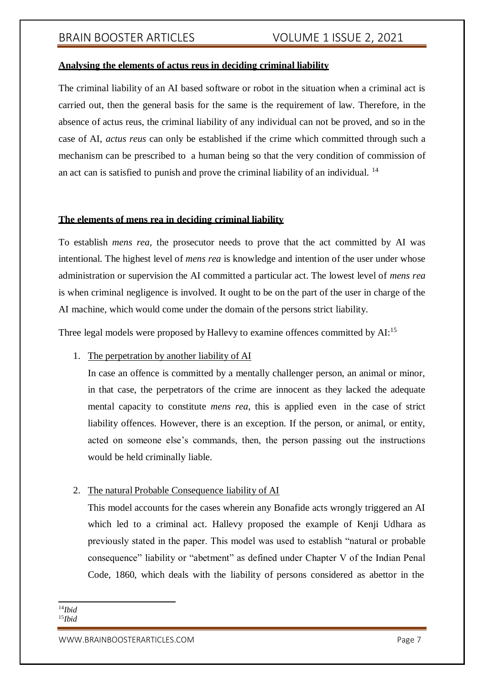### **Analysing the elements of actus reus in deciding criminal liability**

The criminal liability of an AI based software or robot in the situation when a criminal act is carried out, then the general basis for the same is the requirement of law. Therefore, in the absence of actus reus, the criminal liability of any individual can not be proved, and so in the case of AI, *actus reus* can only be established if the crime which committed through such a mechanism can be prescribed to a human being so that the very condition of commission of an act can is satisfied to punish and prove the criminal liability of an individual. <sup>14</sup>

#### **The elements of mens rea in deciding criminal liability**

To establish *mens rea*, the prosecutor needs to prove that the act committed by AI was intentional. The highest level of *mens rea* is knowledge and intention of the user under whose administration or supervision the AI committed a particular act. The lowest level of *mens rea* is when criminal negligence is involved. It ought to be on the part of the user in charge of the AI machine, which would come under the domain of the persons strict liability.

Three legal models were proposed by Hallevy to examine offences committed by AI:<sup>15</sup>

1. The perpetration by another liability of AI

In case an offence is committed by a mentally challenger person, an animal or minor, in that case, the perpetrators of the crime are innocent as they lacked the adequate mental capacity to constitute *mens rea*, this is applied even in the case of strict liability offences. However, there is an exception. If the person, or animal, or entity, acted on someone else's commands, then, the person passing out the instructions would be held criminally liable.

### 2. The natural Probable Consequence liability of AI

This model accounts for the cases wherein any Bonafide acts wrongly triggered an AI which led to a criminal act. Hallevy proposed the example of Kenji Udhara as previously stated in the paper. This model was used to establish "natural or probable consequence" liability or "abetment" as defined under Chapter V of the Indian Penal Code, 1860, which deals with the liability of persons considered as abettor in the

<sup>14</sup>*Ibid* 15*Ibid*

[WWW.BRAINBOOSTERARTICLES.COM](http://www.brainboosterarticles.com/) DESCRIPTION AND THE PAGE 7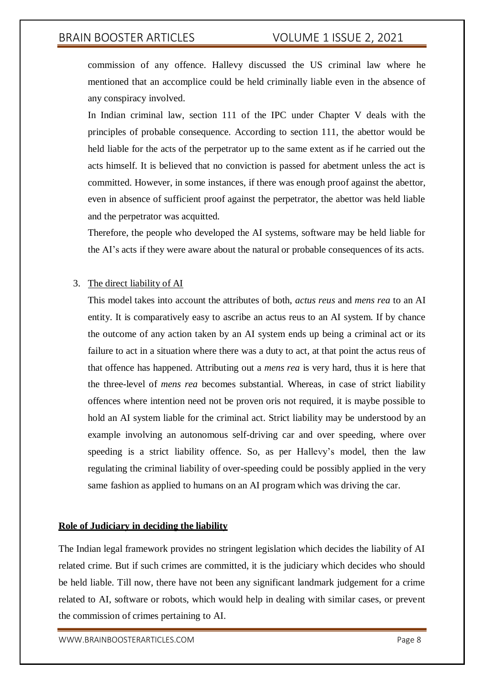commission of any offence. Hallevy discussed the US criminal law where he mentioned that an accomplice could be held criminally liable even in the absence of any conspiracy involved.

In Indian criminal law, section 111 of the IPC under Chapter V deals with the principles of probable consequence. According to section 111, the abettor would be held liable for the acts of the perpetrator up to the same extent as if he carried out the acts himself. It is believed that no conviction is passed for abetment unless the act is committed. However, in some instances, if there was enough proof against the abettor, even in absence of sufficient proof against the perpetrator, the abettor was held liable and the perpetrator was acquitted.

Therefore, the people who developed the AI systems, software may be held liable for the AI's acts if they were aware about the natural or probable consequences of its acts.

## 3. The direct liability of AI

This model takes into account the attributes of both, *actus reus* and *mens rea* to an AI entity. It is comparatively easy to ascribe an actus reus to an AI system. If by chance the outcome of any action taken by an AI system ends up being a criminal act or its failure to act in a situation where there was a duty to act, at that point the actus reus of that offence has happened. Attributing out a *mens rea* is very hard, thus it is here that the three-level of *mens rea* becomes substantial. Whereas, in case of strict liability offences where intention need not be proven oris not required, it is maybe possible to hold an AI system liable for the criminal act. Strict liability may be understood by an example involving an autonomous self-driving car and over speeding, where over speeding is a strict liability offence. So, as per Hallevy's model, then the law regulating the criminal liability of over-speeding could be possibly applied in the very same fashion as applied to humans on an AI program which was driving the car.

#### **Role of Judiciary in deciding the liability**

The Indian legal framework provides no stringent legislation which decides the liability of AI related crime. But if such crimes are committed, it is the judiciary which decides who should be held liable. Till now, there have not been any significant landmark judgement for a crime related to AI, software or robots, which would help in dealing with similar cases, or prevent the commission of crimes pertaining to AI.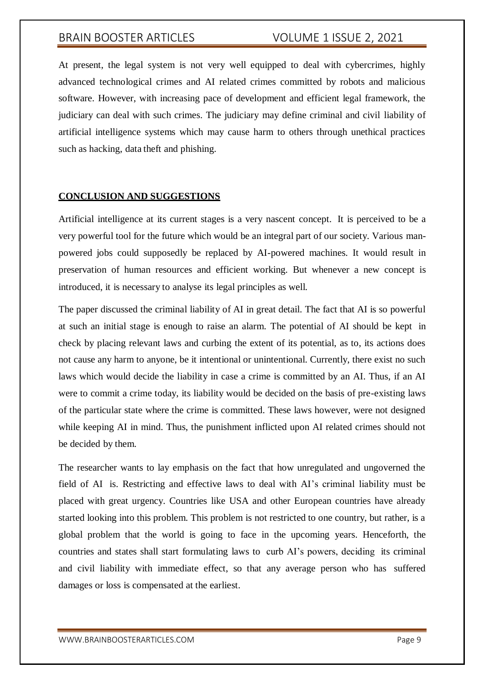At present, the legal system is not very well equipped to deal with cybercrimes, highly advanced technological crimes and AI related crimes committed by robots and malicious software. However, with increasing pace of development and efficient legal framework, the judiciary can deal with such crimes. The judiciary may define criminal and civil liability of artificial intelligence systems which may cause harm to others through unethical practices such as hacking, data theft and phishing.

### **CONCLUSION AND SUGGESTIONS**

Artificial intelligence at its current stages is a very nascent concept. It is perceived to be a very powerful tool for the future which would be an integral part of our society. Various manpowered jobs could supposedly be replaced by AI-powered machines. It would result in preservation of human resources and efficient working. But whenever a new concept is introduced, it is necessary to analyse its legal principles as well.

The paper discussed the criminal liability of AI in great detail. The fact that AI is so powerful at such an initial stage is enough to raise an alarm. The potential of AI should be kept in check by placing relevant laws and curbing the extent of its potential, as to, its actions does not cause any harm to anyone, be it intentional or unintentional. Currently, there exist no such laws which would decide the liability in case a crime is committed by an AI. Thus, if an AI were to commit a crime today, its liability would be decided on the basis of pre-existing laws of the particular state where the crime is committed. These laws however, were not designed while keeping AI in mind. Thus, the punishment inflicted upon AI related crimes should not be decided by them.

The researcher wants to lay emphasis on the fact that how unregulated and ungoverned the field of AI is. Restricting and effective laws to deal with AI's criminal liability must be placed with great urgency. Countries like USA and other European countries have already started looking into this problem. This problem is not restricted to one country, but rather, is a global problem that the world is going to face in the upcoming years. Henceforth, the countries and states shall start formulating laws to curb AI's powers, deciding its criminal and civil liability with immediate effect, so that any average person who has suffered damages or loss is compensated at the earliest.